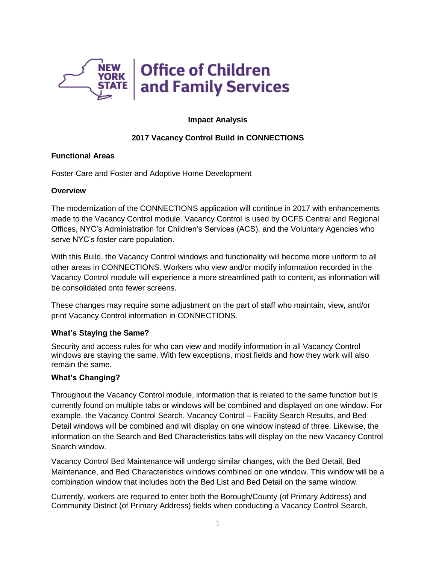

# **Impact Analysis**

# **2017 Vacancy Control Build in CONNECTIONS**

#### **Functional Areas**

Foster Care and Foster and Adoptive Home Development

#### **Overview**

The modernization of the CONNECTIONS application will continue in 2017 with enhancements made to the Vacancy Control module. Vacancy Control is used by OCFS Central and Regional Offices, NYC's Administration for Children's Services (ACS), and the Voluntary Agencies who serve NYC's foster care population.

With this Build, the Vacancy Control windows and functionality will become more uniform to all other areas in CONNECTIONS. Workers who view and/or modify information recorded in the Vacancy Control module will experience a more streamlined path to content, as information will be consolidated onto fewer screens.

These changes may require some adjustment on the part of staff who maintain, view, and/or print Vacancy Control information in CONNECTIONS.

### **What's Staying the Same?**

Security and access rules for who can view and modify information in all Vacancy Control windows are staying the same. With few exceptions, most fields and how they work will also remain the same.

### **What's Changing?**

Throughout the Vacancy Control module, information that is related to the same function but is currently found on multiple tabs or windows will be combined and displayed on one window. For example, the Vacancy Control Search, Vacancy Control – Facility Search Results, and Bed Detail windows will be combined and will display on one window instead of three. Likewise, the information on the Search and Bed Characteristics tabs will display on the new Vacancy Control Search window.

Vacancy Control Bed Maintenance will undergo similar changes, with the Bed Detail, Bed Maintenance, and Bed Characteristics windows combined on one window. This window will be a combination window that includes both the Bed List and Bed Detail on the same window.

Currently, workers are required to enter both the Borough/County (of Primary Address) and Community District (of Primary Address) fields when conducting a Vacancy Control Search,